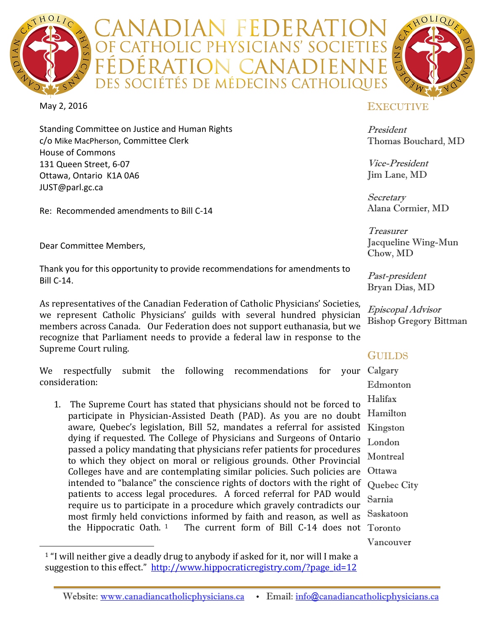

\DIAN FEDER*A* **F CATHOLIC PHYSICIANS' SOCIET** ÉDÉRATION CANADI DES SOCIÉTÉS DE MÉDECINS CATHOLIQUES



Standing Committee on Justice and Human Rights c/o Mike MacPherson, Committee Clerk House of Commons 131 Queen Street, 6-07 Ottawa, Ontario K1A 0A6 [JUST@parl.gc.ca](mailto:JUST@parl.gc.ca)

Re: Recommended amendments to Bill C-14

Dear Committee Members,

Thank you for this opportunity to provide recommendations for amendments to Bill C-14.

As representatives of the Canadian Federation of Catholic Physicians' Societies, we represent Catholic Physicians' guilds with several hundred physician members across Canada. Our Federation does not support euthanasia, but we recognize that Parliament needs to provide a federal law in response to the Supreme Court ruling.

Calgary We respectfully submit the following recommendations for consideration:

the Hippocratic Oath.  $1\quad$  The current form of Bill C-14 does not Toronto 1. The Supreme Court has stated that physicians should not be forced to participate in Physician-Assisted Death (PAD). As you are no doubt aware, Quebec's legislation, Bill 52, mandates a referral for assisted dying if requested. The College of Physicians and Surgeons of Ontario passed a policy mandating that physicians refer patients for procedures to which they object on moral or religious grounds. Other Provincial Colleges have and are contemplating similar policies. Such policies are intended to "balance" the conscience rights of doctors with the right of patients to access legal procedures. A forced referral for PAD would require us to participate in a procedure which gravely contradicts our most firmly held convictions informed by faith and reason, as well as the Hippocratic Oath.  $1$  The current form of Bill C-14 does not

# **EXECUTIVE**

President Thomas Bouchard, MD

Vice-President Jim Lane, MD

Secretary Alana Cormier, MD

Treasurer Jacqueline Wing-Mun Chow, MD

Past-president Bryan Dias, MD

Episcopal Advisor Bishop Gregory Bittman

# GUILDS

Edmonton Halifax Hamilton Kingston London Montreal Ottawa Quebec City Sarnia Saskatoon Vancouver

<span id="page-0-0"></span><sup>&</sup>lt;sup>1</sup> "I will neither give a deadly drug to anybody if asked for it, nor will I make a suggestion to this effect." [http://www.hippocraticregistry.com/?page\\_id=12](http://www.hippocraticregistry.com/?page_id=12)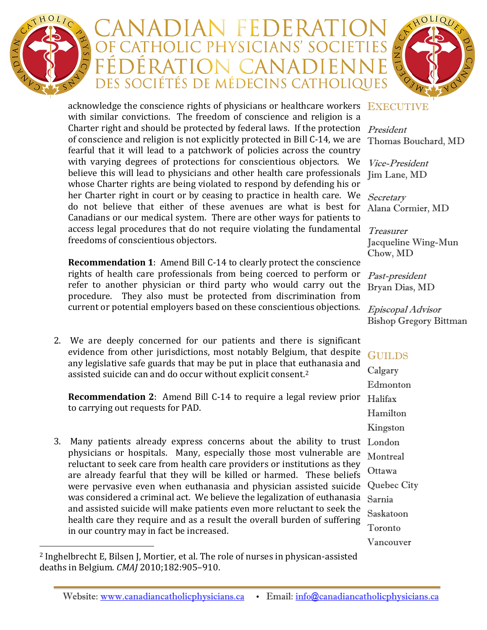

# ADIAN FEDERAT F CATHOLIC PHYSICIANS' SOCIET ÉDÉRATION CANADIENI DES SOCIÉTÉS DE MÉDECINS CATHOLIQUES



acknowledge the conscience rights of physicians or healthcare workers  $\rm\_EXECUTE$ Charter right and should be protected by federal laws. If the protection  $\;P_{\it{resident}}\;$ her Charter right in court or by ceasing to practice in health care. We  $\;Secretary\;$ access legal procedures that do not require violating the fundamental  $\;T$ reasurer with similar convictions. The freedom of conscience and religion is a of conscience and religion is not explicitly protected in Bill C-14, we are fearful that it will lead to a patchwork of policies across the country with varying degrees of protections for conscientious objectors. We believe this will lead to physicians and other health care professionals whose Charter rights are being violated to respond by defending his or do not believe that either of these avenues are what is best for Canadians or our medical system. There are other ways for patients to freedoms of conscientious objectors.

**Recommendation 1**: Amend Bill C-14 to clearly protect the conscience rights of health care professionals from being coerced to perform or refer to another physician or third party who would carry out the procedure. They also must be protected from discrimination from current or potential employers based on these conscientious objections.

2. We are deeply concerned for our patients and there is significant evidence from other jurisdictions, most notably Belgium, that despite any legislative safe guards that may be put in place that e[ut](#page-1-0)hanasia and assisted suicide can and do occur without explicit consent.2

**Recommendation 2**: Amend Bill C-14 to require a legal review prior Halifax to carrying out requests for PAD.

3. Many patients already express concerns about the ability to trust London physicians or hospitals. Many, especially those most vulnerable are reluctant to seek care from health care providers or institutions as they are already fearful that they will be killed or harmed. These beliefs were pervasive even when euthanasia and physician assisted suicide was considered a criminal act. We believe the legalization of euthanasia and assisted suicide will make patients even more reluctant to seek the health care they require and as a result the overall burden of suffering in our country may in fact be increased.

Thomas Bouchard, MD

Vice-President Jim Lane, MD

Alana Cormier, MD

Jacqueline Wing-Mun Chow, MD

Past-president Bryan Dias, MD

Episcopal Advisor Bishop Gregory Bittman

### GUILDS

Calgary Edmonton Hamilton Kingston Montreal Ottawa Quebec City Sarnia Saskatoon Toronto Vancouver

<span id="page-1-0"></span> <sup>2</sup> Inghelbrecht E, Bilsen J, Mortier, et al. The role of nurses in physican-assisted deaths in Belgium. *CMAJ* 2010;182:905–910.